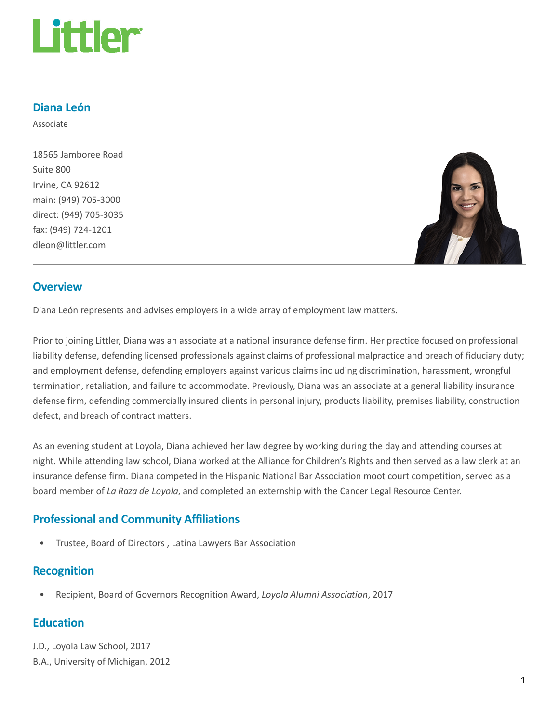

### Diana León

Associate

18565 Jamboree Road Suite 800 Irvine, CA 92612 main: (949) 705-3000 direct: (949) 705-3035 fax: (949) 724-1201 dleon@littler.com



#### **Overview**

Diana León represents and advises employers in a wide array of employment law matters.

Prior to joining Littler, Diana was an associate at a national insurance defense firm. Her practice focused on professional liability defense, defending licensed professionals against claims of professional malpractice and breach of fiduciary duty; and employment defense, defending employers against various claims including discrimination, harassment, wrongful termination, retaliation, and failure to accommodate. Previously, Diana was an associate at a general liability insurance defense firm, defending commercially insured clients in personal injury, products liability, premises liability, construction defect, and breach of contract matters.

As an evening student at Loyola, Diana achieved her law degree by working during the day and attending courses at night. While attending law school, Diana worked at the Alliance for Children's Rights and then served as a law clerk at an insurance defense firm. Diana competed in the Hispanic National Bar Association moot court competition, served as a board member of La Raza de Loyola, and completed an externship with the Cancer Legal Resource Center.

### Professional and Community Affiliations

• Trustee, Board of Directors , Latina Lawyers Bar Association

#### Recognition

• Recipient, Board of Governors Recognition Award, Loyola Alumni Association, 2017

#### **Education**

J.D., Loyola Law School, 2017 B.A., University of Michigan, 2012